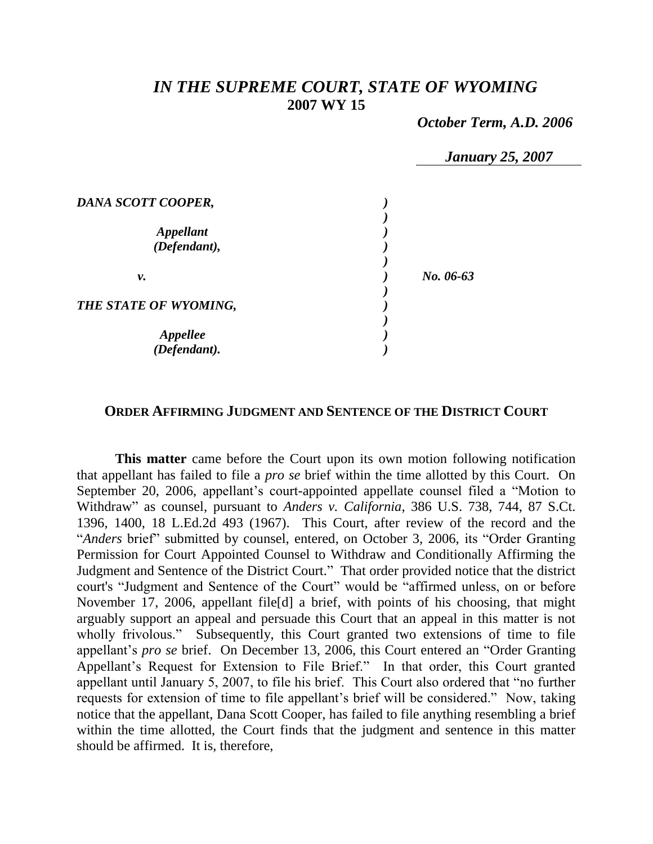## *IN THE SUPREME COURT, STATE OF WYOMING* **2007 WY 15**

 *October Term, A.D. 2006*

*January 25, 2007*

| DANA SCOTT COOPER,               |           |
|----------------------------------|-----------|
| <b>Appellant</b><br>(Defendant), |           |
| v.                               | No. 06-63 |
| THE STATE OF WYOMING,            |           |
| Appellee<br>(Defendant).         |           |

## **ORDER AFFIRMING JUDGMENT AND SENTENCE OF THE DISTRICT COURT**

**This matter** came before the Court upon its own motion following notification that appellant has failed to file a *pro se* brief within the time allotted by this Court. On September 20, 2006, appellant's court-appointed appellate counsel filed a "Motion to Withdraw" as counsel, pursuant to *Anders v. California*, 386 U.S. 738, 744, 87 S.Ct. 1396, 1400, 18 L.Ed.2d 493 (1967). This Court, after review of the record and the "*Anders* brief" submitted by counsel, entered, on October 3, 2006, its "Order Granting Permission for Court Appointed Counsel to Withdraw and Conditionally Affirming the Judgment and Sentence of the District Court." That order provided notice that the district court's "Judgment and Sentence of the Court" would be "affirmed unless, on or before November 17, 2006, appellant file[d] a brief, with points of his choosing, that might arguably support an appeal and persuade this Court that an appeal in this matter is not wholly frivolous." Subsequently, this Court granted two extensions of time to file appellant's *pro se* brief. On December 13, 2006, this Court entered an "Order Granting Appellant's Request for Extension to File Brief." In that order, this Court granted appellant until January 5, 2007, to file his brief. This Court also ordered that "no further requests for extension of time to file appellant's brief will be considered." Now, taking notice that the appellant, Dana Scott Cooper, has failed to file anything resembling a brief within the time allotted, the Court finds that the judgment and sentence in this matter should be affirmed. It is, therefore,